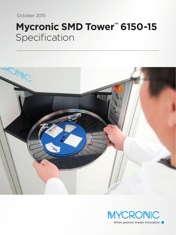October 2015

# **Mycronic SMD Tower™ 6150-15** Specification



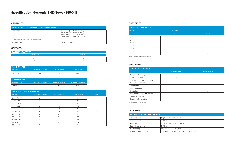## **Specification Mycronic SMD Tower 6150-15**

#### **CAPABILITY**

#### **STANDARD CONFIGURATION**

| <b>SIANDARD CONFIGURATION</b> |                              |                       |                        |              |
|-------------------------------|------------------------------|-----------------------|------------------------|--------------|
| <b>REEL WIDTH</b>             | <b>CASSETTES / SMD TOWER</b> | <b>REELS/CASSETTE</b> | <b>NUMBER OF REELS</b> | <b>TOTAL</b> |
| 8 mm/4"-7"                    | $\Omega$                     | 14                    | $\circ$                |              |
| $8 \, \text{mm} / 15$ "       | $\Omega$                     | 14                    | O                      |              |
| 12 mm/4"-7"                   | $\Omega$                     | 12                    | O                      |              |
| 12 mm/15"                     | 6                            | 12                    | 72                     |              |
| 16 mm/4"-7"                   | $\Omega$                     | 10                    | $\circ$                |              |
| 16 mm/15"                     | 8                            | 10                    | 80                     | 287          |
| 24 mm/4"-7"                   | $\Omega$                     | 8                     | $\Omega$               |              |
| 24 mm/15"                     | 7                            | 8                     | 56                     |              |
| 32 mm/15"                     | 6                            | 7                     | 42                     |              |
| 44 mm/15"                     | 5                            | 5                     | 25                     |              |
| 56 mm/15"                     | 3                            | 4                     | 12                     |              |

| <b>MAXIMUM REEL</b>      |                              |                       |                        |
|--------------------------|------------------------------|-----------------------|------------------------|
| <b>REEL WIDTH</b>        | <b>CASSETTES / SMD TOWER</b> | <b>REELS/CASSETTE</b> | <b>NUMBER OF REELS</b> |
| $8 \text{ mm} / 4" - 7"$ | 35                           |                       | 980                    |

| <b>MAXIMUM TRAY</b>   |                              |                            |                      |
|-----------------------|------------------------------|----------------------------|----------------------|
| <b>CASSETTE WIDTH</b> | <b>CASSETTES / SMD TOWER</b> | <b>TRAY BOXES/CASSETTE</b> | NUMBER OF TRAY BOXES |
| 44 mm/13"             | 35                           | 25                         | 875                  |

| <b>CASSETTE CAPACITY</b> |               |  |
|--------------------------|---------------|--|
| <b>CASSETTE TYPE</b>     | <b>NUMBER</b> |  |
| $4'' - 7''$              | 35            |  |
| 15''                     | てに            |  |

#### CASSETTES

| <b>RANDOM ACCESS STORAGE SYSTEM FOR SMD REELS</b> |                                                                                                                                  |  |
|---------------------------------------------------|----------------------------------------------------------------------------------------------------------------------------------|--|
| Reel sizes                                        | 8 to 24 mm (4"/100 mm reels)<br>8 to 24 mm (7"/180 mm reels)<br>8 to 56 mm (13"/330 mm reels)<br>8 to 56 mm (15 "/ 380 mm reels) |  |
| Freely configurable and expandable                |                                                                                                                                  |  |
| Access time                                       | 5 reels/minutes typ.                                                                                                             |  |

#### **CAPACITY**

| DRY AIR UNIT FREY FND 3.0 F-DP      |                                                  |  |
|-------------------------------------|--------------------------------------------------|--|
| Flow rate, max                      | (in) 24 $\rm m^3/h$ , (out) 20 $\rm m^3/h$       |  |
| Flow rate, type                     | $3 \text{ m}^3/h$                                |  |
| Air supply                          | class 4 (ISO 8573-1) or better                   |  |
| Operating pressure                  | $5-10$ bar                                       |  |
| Power supply                        | 115/230 V, 50/60 Hz, 18W                         |  |
| Dimension (W $\times$ D $\times$ H) | 330 mm x 270 mm x 840 mm (13.0" x 10.6" x 33.1") |  |

#### ACCESSORY

| <b>SOFTWARE FUNCTIONS</b>       |                      |                      |
|---------------------------------|----------------------|----------------------|
|                                 | <b>STANDARD MODE</b> | <b>MYCENTER MODE</b> |
| Component management            |                      | (2)                  |
| Stock monitoring                |                      | (2)                  |
| External communication protocol |                      |                      |
| User Access System              |                      |                      |
| Traceability                    |                      |                      |
| Job preparation                 | ٠                    | (2)                  |
| Barcoding                       |                      | (2)                  |
| Data import/Export function     |                      | (2)                  |
| Inventory function              | ٠                    | (2)                  |
| Component allocation            | ٠                    |                      |

(2) Handled by MYCenter software.

### SOFTWARE

Smaller reels can be stored in larger cassettes.

| <b>CASSETTES AVAILABLE</b> |                      |                       |
|----------------------------|----------------------|-----------------------|
| <b>REEL WIDTH</b>          | <b>REEL DIAMETER</b> |                       |
|                            | $4" - 7"$            | $15''$ <sup>(1)</sup> |
| 8 mm                       | ٠                    | ٠                     |
| $12 \, \text{mm}$          |                      |                       |
| 16 mm                      | $\bullet$            | $\bullet$             |
| 24 mm                      | ٠                    |                       |
| 32 mm                      |                      |                       |
| 44 mm                      |                      | ٠                     |
| 56 mm                      |                      |                       |

Smaller reels can be stored in larger cassettes.